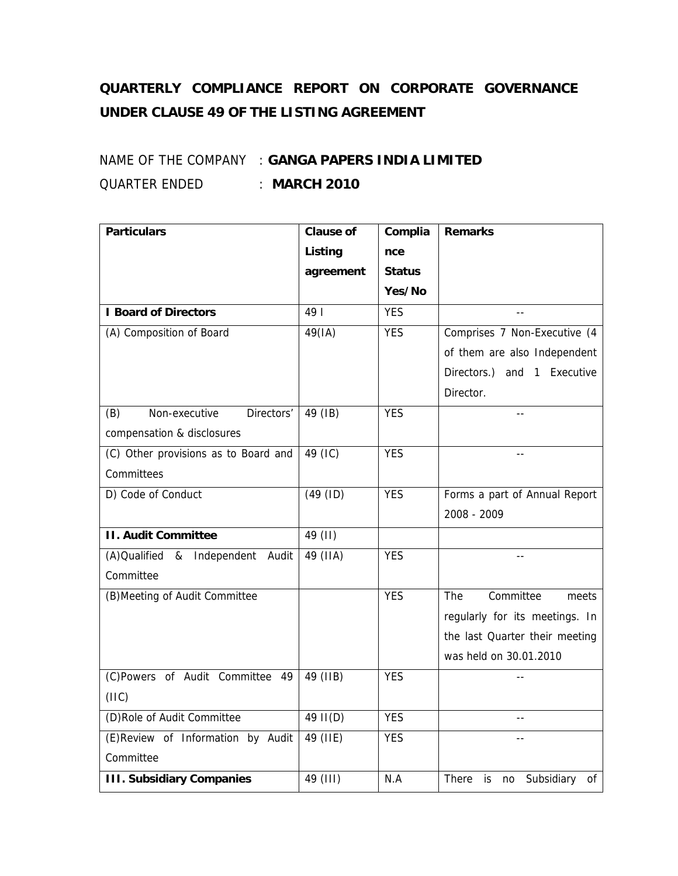## **QUARTERLY COMPLIANCE REPORT ON CORPORATE GOVERNANCE UNDER CLAUSE 49 OF THE LISTING AGREEMENT**

## NAME OF THE COMPANY : **GANGA PAPERS INDIA LIMITED** QUARTER ENDED : **MARCH 2010**

| <b>Particulars</b>                   | <b>Clause of</b> | Complia       | <b>Remarks</b>                         |
|--------------------------------------|------------------|---------------|----------------------------------------|
|                                      | Listing          | nce           |                                        |
|                                      | agreement        | <b>Status</b> |                                        |
|                                      |                  | Yes/No        |                                        |
| <b>I Board of Directors</b>          | 49               | <b>YES</b>    |                                        |
| (A) Composition of Board             | 49(IA)           | <b>YES</b>    | Comprises 7 Non-Executive (4           |
|                                      |                  |               | of them are also Independent           |
|                                      |                  |               | Directors.) and 1 Executive            |
|                                      |                  |               | Director.                              |
| Non-executive<br>Directors'<br>(B)   | 49 (IB)          | <b>YES</b>    |                                        |
| compensation & disclosures           |                  |               |                                        |
| (C) Other provisions as to Board and | 49 (IC)          | <b>YES</b>    | $-$                                    |
| Committees                           |                  |               |                                        |
| D) Code of Conduct                   | (49 (ID)         | <b>YES</b>    | Forms a part of Annual Report          |
|                                      |                  |               | 2008 - 2009                            |
| <b>II. Audit Committee</b>           | 49 (II)          |               |                                        |
| (A) Qualified & Independent Audit    | 49 (IIA)         | <b>YES</b>    |                                        |
| Committee                            |                  |               |                                        |
| (B) Meeting of Audit Committee       |                  | <b>YES</b>    | Committee<br>The<br>meets              |
|                                      |                  |               | regularly for its meetings. In         |
|                                      |                  |               | the last Quarter their meeting         |
|                                      |                  |               | was held on 30.01.2010                 |
| (C)Powers of Audit Committee 49      | 49 (IIB)         | <b>YES</b>    |                                        |
| (11C)                                |                  |               |                                        |
| (D)Role of Audit Committee           | 49 II(D)         | <b>YES</b>    | $\overline{a}$                         |
| (E)Review of Information by Audit    | 49 (IIE)         | <b>YES</b>    | $-$                                    |
| Committee                            |                  |               |                                        |
| <b>III. Subsidiary Companies</b>     | 49 (III)         | N.A           | There<br>Subsidiary<br>is.<br>no<br>οf |